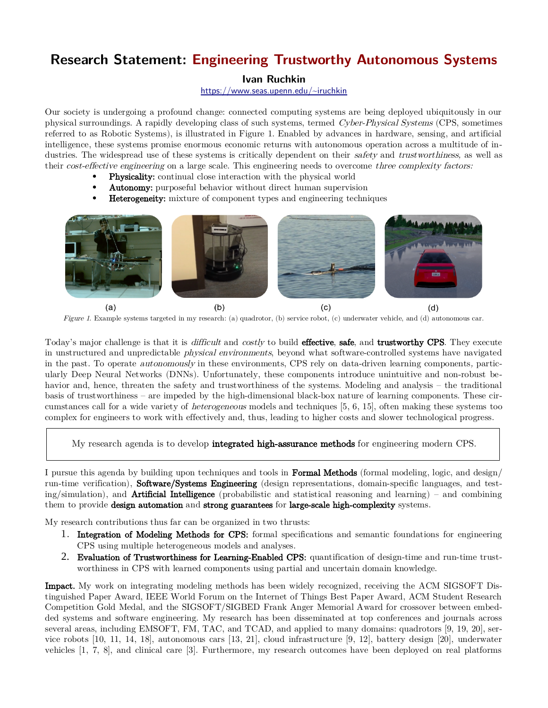# **Research Statement: Engineering Trustworthy Autonomous Systems**

### **Ivan Ruchkin**

<https://www.seas.upenn.edu/~iruchkin>

Our society is undergoing a profound change: connected computing systems are being deployed ubiquitously in our physical surroundings. A rapidly developing class of such systems, termed Cyber-Physical Systems (CPS, sometimes referred to as Robotic Systems), is illustrated in Figure 1. Enabled by advances in hardware, sensing, and artificial intelligence, these systems promise enormous economic returns with autonomous operation across a multitude of industries. The widespread use of these systems is critically dependent on their *safety* and *trustworthiness*, as well as their *cost-effective engineering* on a large scale. This engineering needs to overcome *three complexity factors:* 

- Physicality: continual close interaction with the physical world
- Autonomy: purposeful behavior without direct human supervision
- Heterogeneity: mixture of component types and engineering techniques



Figure 1. Example systems targeted in my research: (a) quadrotor, (b) service robot, (c) underwater vehicle, and (d) autonomous car.

Today's major challenge is that it is *difficult* and *costly* to build **effective, safe**, and **trustworthy CPS**. They execute in unstructured and unpredictable physical environments, beyond what software-controlled systems have navigated in the past. To operate autonomously in these environments, CPS rely on data-driven learning components, particularly Deep Neural Networks (DNNs). Unfortunately, these components introduce unintuitive and non-robust behavior and, hence, threaten the safety and trustworthiness of the systems. Modeling and analysis – the traditional basis of trustworthiness – are impeded by the high-dimensional black-box nature of learning components. These circumstances call for a wide variety of heterogeneous models and techniques [5, 6, 15], often making these systems too complex for engineers to work with effectively and, thus, leading to higher costs and slower technological progress.

My research agenda is to develop **integrated high-assurance methods** for engineering modern CPS.

I pursue this agenda by building upon techniques and tools in Formal Methods (formal modeling, logic, and design/ run-time verification), Software/Systems Engineering (design representations, domain-specific languages, and test $ing/simulation$ , and **Artificial Intelligence** (probabilistic and statistical reasoning and learning) – and combining them to provide design automation and strong guarantees for large-scale high-complexity systems.

My research contributions thus far can be organized in two thrusts:

- 1. Integration of Modeling Methods for CPS: formal specifications and semantic foundations for engineering CPS using multiple heterogeneous models and analyses.
- 2. Evaluation of Trustworthiness for Learning-Enabled CPS: quantification of design-time and run-time trustworthiness in CPS with learned components using partial and uncertain domain knowledge.

Impact. My work on integrating modeling methods has been widely recognized, receiving the ACM SIGSOFT Distinguished Paper Award, IEEE World Forum on the Internet of Things Best Paper Award, ACM Student Research Competition Gold Medal, and the SIGSOFT/SIGBED Frank Anger Memorial Award for crossover between embedded systems and software engineering. My research has been disseminated at top conferences and journals across several areas, including EMSOFT, FM, TAC, and TCAD, and applied to many domains: quadrotors [9, 19, 20], service robots [10, 11, 14, 18], autonomous cars [13, 21], cloud infrastructure [9, 12], battery design [20], underwater vehicles [1, 7, 8], and clinical care [3]. Furthermore, my research outcomes have been deployed on real platforms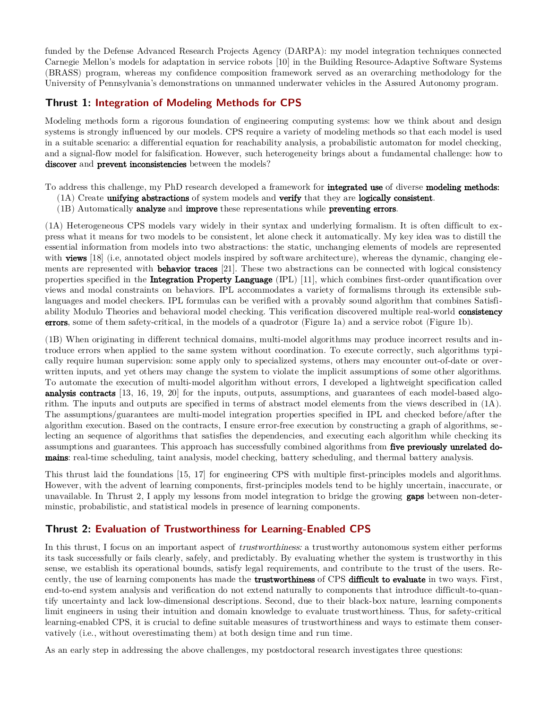funded by the Defense Advanced Research Projects Agency (DARPA): my model integration techniques connected Carnegie Mellon's models for adaptation in service robots [10] in the Building Resource-Adaptive Software Systems (BRASS) program, whereas my confidence composition framework served as an overarching methodology for the University of Pennsylvania's demonstrations on unmanned underwater vehicles in the Assured Autonomy program.

### **Thrust 1: Integration of Modeling Methods for CPS**

Modeling methods form a rigorous foundation of engineering computing systems: how we think about and design systems is strongly influenced by our models. CPS require a variety of modeling methods so that each model is used in a suitable scenario: a differential equation for reachability analysis, a probabilistic automaton for model checking, and a signal-flow model for falsification. However, such heterogeneity brings about a fundamental challenge: how to discover and prevent inconsistencies between the models?

To address this challenge, my PhD research developed a framework for integrated use of diverse modeling methods:

- (1A) Create unifying abstractions of system models and verify that they are logically consistent.
- (1B) Automatically analyze and improve these representations while preventing errors.

(1A) Heterogeneous CPS models vary widely in their syntax and underlying formalism. It is often difficult to express what it means for two models to be consistent, let alone check it automatically. My key idea was to distill the essential information from models into two abstractions: the static, unchanging elements of models are represented with **views** [18] (i.e, annotated object models inspired by software architecture), whereas the dynamic, changing elements are represented with **behavior traces** [21]. These two abstractions can be connected with logical consistency properties specified in the Integration Property Language (IPL) [11], which combines first-order quantification over views and modal constraints on behaviors. IPL accommodates a variety of formalisms through its extensible sublanguages and model checkers. IPL formulas can be verified with a provably sound algorithm that combines Satisfiability Modulo Theories and behavioral model checking. This verification discovered multiple real-world **consistency** errors, some of them safety-critical, in the models of a quadrotor (Figure 1a) and a service robot (Figure 1b).

(1B) When originating in different technical domains, multi-model algorithms may produce incorrect results and introduce errors when applied to the same system without coordination. To execute correctly, such algorithms typically require human supervision: some apply only to specialized systems, others may encounter out-of-date or overwritten inputs, and yet others may change the system to violate the implicit assumptions of some other algorithms. To automate the execution of multi-model algorithm without errors, I developed a lightweight specification called analysis contracts [13, 16, 19, 20] for the inputs, outputs, assumptions, and guarantees of each model-based algorithm. The inputs and outputs are specified in terms of abstract model elements from the views described in (1A). The assumptions/guarantees are multi-model integration properties specified in IPL and checked before/after the algorithm execution. Based on the contracts, I ensure error-free execution by constructing a graph of algorithms, se lecting an sequence of algorithms that satisfies the dependencies, and executing each algorithm while checking its assumptions and guarantees. This approach has successfully combined algorithms from five previously unrelated domains: real-time scheduling, taint analysis, model checking, battery scheduling, and thermal battery analysis.

This thrust laid the foundations [15, 17] for engineering CPS with multiple first-principles models and algorithms. However, with the advent of learning components, first-principles models tend to be highly uncertain, inaccurate, or unavailable. In Thrust 2, I apply my lessons from model integration to bridge the growing **gaps** between non-determinstic, probabilistic, and statistical models in presence of learning components.

## **Thrust 2: Evaluation of Trustworthiness for Learning-Enabled CPS**

In this thrust, I focus on an important aspect of *trustworthiness:* a trustworthy autonomous system either performs its task successfully or fails clearly, safely, and predictably. By evaluating whether the system is trustworthy in this sense, we establish its operational bounds, satisfy legal requirements, and contribute to the trust of the users. Recently, the use of learning components has made the **trustworthiness** of CPS difficult to evaluate in two ways. First, end-to-end system analysis and verification do not extend naturally to components that introduce difficult-to-quantify uncertainty and lack low-dimensional descriptions. Second, due to their black-box nature, learning components limit engineers in using their intuition and domain knowledge to evaluate trustworthiness. Thus, for safety-critical learning-enabled CPS, it is crucial to define suitable measures of trustworthiness and ways to estimate them conservatively (i.e., without overestimating them) at both design time and run time.

As an early step in addressing the above challenges, my postdoctoral research investigates three questions: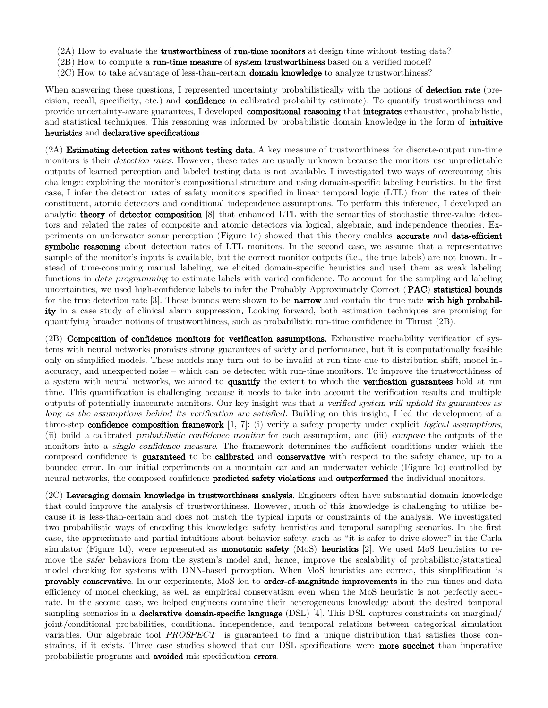- (2A) How to evaluate the **trustworthiness** of **run-time monitors** at design time without testing data?
- (2B) How to compute a **run-time measure** of **system trustworthiness** based on a verified model?
- (2C) How to take advantage of less-than-certain **domain knowledge** to analyze trustworthiness?

When answering these questions, I represented uncertainty probabilistically with the notions of **detection rate** (precision, recall, specificity, etc.) and **confidence** (a calibrated probability estimate). To quantify trustworthiness and provide uncertainty-aware guarantees, I developed **compositional reasoning** that **integrates** exhaustive, probabilistic, and statistical techniques. This reasoning was informed by probabilistic domain knowledge in the form of **intuitive** heuristics and declarative specifications.

 $(2)$  Estimating detection rates without testing data. A key measure of trustworthiness for discrete-output run-time monitors is their *detection rates*. However, these rates are usually unknown because the monitors use unpredictable outputs of learned perception and labeled testing data is not available. I investigated two ways of overcoming this challenge: exploiting the monitor's compositional structure and using domain-specific labeling heuristics. In the first case, I infer the detection rates of safety monitors specified in linear temporal logic (LTL) from the rates of their constituent, atomic detectors and conditional independence assumptions. To perform this inference, I developed an analytic **theory** of **detector composition** [8] that enhanced LTL with the semantics of stochastic three-value detectors and related the rates of composite and atomic detectors via logical, algebraic, and independence theories. Experiments on underwater sonar perception (Figure 1c) showed that this theory enables **accurate** and **data-efficient** symbolic reasoning about detection rates of LTL monitors. In the second case, we assume that a representative sample of the monitor's inputs is available, but the correct monitor outputs (i.e., the true labels) are not known. Instead of time-consuming manual labeling, we elicited domain-specific heuristics and used them as weak labeling functions in *data programming* to estimate labels with varied confidence. To account for the sampling and labeling uncertainties, we used high-confidence labels to infer the Probably Approximately Correct (PAC) statistical bounds for the true detection rate  $[3]$ . These bounds were shown to be **narrow** and contain the true rate with high probability in a case study of clinical alarm suppression. Looking forward, both estimation techniques are promising for quantifying broader notions of trustworthiness, such as probabilistic run-time confidence in Thrust (2B).

(2B) Composition of confidence monitors for verification assumptions. Exhaustive reachability verification of systems with neural networks promises strong guarantees of safety and performance, but it is computationally feasible only on simplified models. These models may turn out to be invalid at run time due to distribution shift, model inaccuracy, and unexpected noise – which can be detected with run-time monitors. To improve the trustworthiness of a system with neural networks, we aimed to quantify the extent to which the verification guarantees hold at run time. This quantification is challenging because it needs to take into account the verification results and multiple outputs of potentially inaccurate monitors. Our key insight was that <sup>a</sup> verified system will uphold its guarantees as long as the assumptions behind its verification are satisfied. Building on this insight, I led the development of a three-step confidence composition framework  $[1, 7]$ : (i) verify a safety property under explicit *logical* assumptions, (ii) build a calibrated probabilistic confidence monitor for each assumption, and (iii) compose the outputs of the monitors into a *single confidence measure*. The framework determines the sufficient conditions under which the composed confidence is guaranteed to be calibrated and conservative with respect to the safety chance, up to a bounded error. In our initial experiments on a mountain car and an underwater vehicle (Figure 1c) controlled by neural networks, the composed confidence **predicted safety violations** and **outperformed** the individual monitors.

 $(2C)$  Leveraging domain knowledge in trustworthiness analysis. Engineers often have substantial domain knowledge that could improve the analysis of trustworthiness. However, much of this knowledge is challenging to utilize because it is less-than-certain and does not match the typical inputs or constraints of the analysis. We investigated two probabilistic ways of encoding this knowledge: safety heuristics and temporal sampling scenarios. In the first case, the approximate and partial intuitions about behavior safety, such as "it is safer to drive slower" in the Carla simulator (Figure 1d), were represented as **monotonic safety** (MoS) **heuristics** [2]. We used MoS heuristics to remove the safer behaviors from the system's model and, hence, improve the scalability of probabilistic/statistical model checking for systems with DNN-based perception. When MoS heuristics are correct, this simplification is provably conservative. In our experiments, MoS led to order-of-magnitude improvements in the run times and data efficiency of model checking, as well as empirical conservatism even when the MoS heuristic is not perfectly accurate. In the second case, we helped engineers combine their heterogeneous knowledge about the desired temporal sampling scenarios in a **declarative domain-specific language** (DSL) [4]. This DSL captures constraints on marginal/ joint/conditional probabilities, conditional independence, and temporal relations between categorical simulation variables. Our algebraic tool PROSPECT is guaranteed to find a unique distribution that satisfies those constraints, if it exists. Three case studies showed that our DSL specifications were **more succinct** than imperative probabilistic programs and avoided mis-specification errors.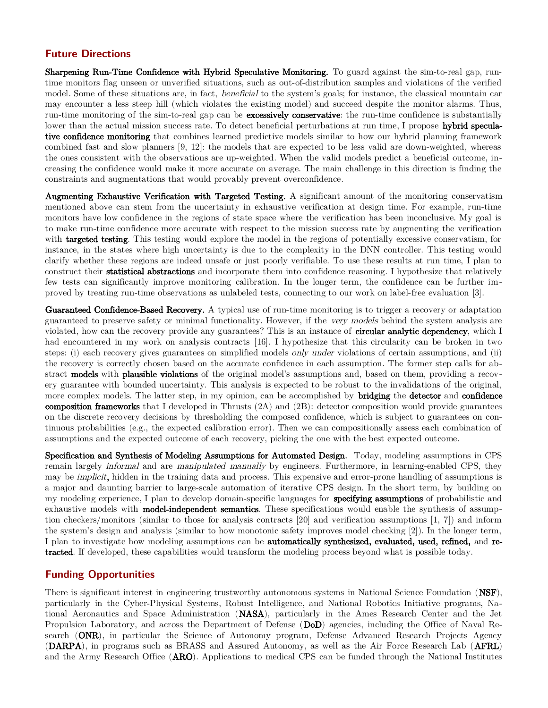### **Future Directions**

Sharpening Run-Time Confidence with Hybrid Speculative Monitoring. To guard against the sim-to-real gap, runtime monitors flag unseen or unverified situations, such as out-of-distribution samples and violations of the verified model. Some of these situations are, in fact, *beneficial* to the system's goals; for instance, the classical mountain car may encounter a less steep hill (which violates the existing model) and succeed despite the monitor alarms. Thus, run-time monitoring of the sim-to-real gap can be **excessively conservative**: the run-time confidence is substantially lower than the actual mission success rate. To detect beneficial perturbations at run time, I propose **hybrid specula**tive confidence monitoring that combines learned predictive models similar to how our hybrid planning framework combined fast and slow planners [9, 12]: the models that are expected to be less valid are down-weighted, whereas the ones consistent with the observations are up-weighted. When the valid models predict a beneficial outcome, increasing the confidence would make it more accurate on average. The main challenge in this direction is finding the constraints and augmentations that would provably prevent overconfidence.

Augmenting Exhaustive Verification with Targeted Testing. A significant amount of the monitoring conservatism mentioned above can stem from the uncertainty in exhaustive verification at design time. For example, run-time monitors have low confidence in the regions of state space where the verification has been inconclusive. My goal is to make run-time confidence more accurate with respect to the mission success rate by augmenting the verification with **targeted testing**. This testing would explore the model in the regions of potentially excessive conservatism, for instance, in the states where high uncertainty is due to the complexity in the DNN controller. This testing would clarify whether these regions are indeed unsafe or just poorly verifiable. To use these results at run time, I plan to construct their statistical abstractions and incorporate them into confidence reasoning. I hypothesize that relatively few tests can significantly improve monitoring calibration. In the longer term, the confidence can be further improved by treating run-time observations as unlabeled tests, connecting to our work on label-free evaluation [3].

Guaranteed Confidence-Based Recovery. A typical use of run-time monitoring is to trigger a recovery or adaptation guaranteed to preserve safety or minimal functionality. However, if the very models behind the system analysis are violated, how can the recovery provide any guarantees? This is an instance of **circular analytic dependency**, which I had encountered in my work on analysis contracts [16]. I hypothesize that this circularity can be broken in two steps: (i) each recovery gives guarantees on simplified models only under violations of certain assumptions, and (ii) the recovery is correctly chosen based on the accurate confidence in each assumption. The former step calls for abstract models with plausible violations of the original model's assumptions and, based on them, providing a recovery guarantee with bounded uncertainty. This analysis is expected to be robust to the invalidations of the original, more complex models. The latter step, in my opinion, can be accomplished by **bridging** the **detector** and **confidence composition frameworks** that I developed in Thrusts  $(2A)$  and  $(2B)$ : detector composition would provide guarantees on the discrete recovery decisions by thresholding the composed confidence, which is subject to guarantees on continuous probabilities (e.g., the expected calibration error). Then we can compositionally assess each combination of assumptions and the expected outcome of each recovery, picking the one with the best expected outcome.

Specification and Synthesis of Modeling Assumptions for Automated Design. Today, modeling assumptions in CPS remain largely *informal* and are *manipulated manually* by engineers. Furthermore, in learning-enabled CPS, they may be *implicit*, hidden in the training data and process. This expensive and error-prone handling of assumptions is a major and daunting barrier to large-scale automation of iterative CPS design. In the short term, by building on my modeling experience, I plan to develop domain-specific languages for **specifying assumptions** of probabilistic and exhaustive models with **model-independent semantics**. These specifications would enable the synthesis of assumption checkers/monitors (similar to those for analysis contracts [20] and verification assumptions [1, 7]) and inform the system's design and analysis (similar to how monotonic safety improves model checking [2]). In the longer term, I plan to investigate how modeling assumptions can be automatically synthesized, evaluated, used, refined, and retracted. If developed, these capabilities would transform the modeling process beyond what is possible today.

#### **Funding Opportunities**

There is significant interest in engineering trustworthy autonomous systems in National Science Foundation (NSF), particularly in the Cyber-Physical Systems, Robust Intelligence, and National Robotics Initiative programs, National Aeronautics and Space Administration (NASA), particularly in the Ames Research Center and the Jet Propulsion Laboratory, and across the Department of Defense (DoD) agencies, including the Office of Naval Research (ONR), in particular the Science of Autonomy program, Defense Advanced Research Projects Agency (DARPA), in programs such as BRASS and Assured Autonomy, as well as the Air Force Research Lab (AFRL) and the Army Research Office (ARO). Applications to medical CPS can be funded through the National Institutes